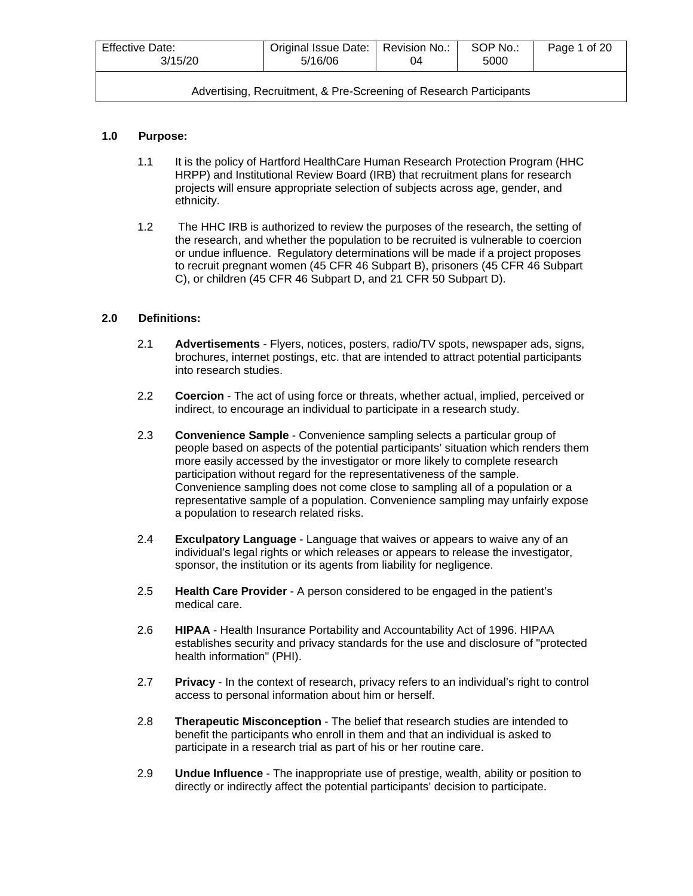| <b>Effective Date:</b> | Original Issue Date: | Revision No.: | SOP No.: | Page 1 of 20 |
|------------------------|----------------------|---------------|----------|--------------|
| 3/15/20                | 5/16/06              | 04            | 5000     |              |
|                        |                      |               |          |              |

# **1.0 Purpose:**

- 1.1 It is the policy of Hartford HealthCare Human Research Protection Program (HHC HRPP) and Institutional Review Board (IRB) that recruitment plans for research projects will ensure appropriate selection of subjects across age, gender, and ethnicity.
- 1.2 The HHC IRB is authorized to review the purposes of the research, the setting of the research, and whether the population to be recruited is vulnerable to coercion or undue influence. Regulatory determinations will be made if a project proposes to recruit pregnant women (45 CFR 46 Subpart B), prisoners (45 CFR 46 Subpart C), or children (45 CFR 46 Subpart D, and 21 CFR 50 Subpart D).

# **2.0 Definitions:**

- 2.1 **Advertisements** Flyers, notices, posters, radio/TV spots, newspaper ads, signs, brochures, internet postings, etc. that are intended to attract potential participants into research studies.
- 2.2 **Coercion** The act of using force or threats, whether actual, implied, perceived or indirect, to encourage an individual to participate in a research study.
- 2.3 **Convenience Sample** Convenience sampling selects a particular group of people based on aspects of the potential participants' situation which renders them more easily accessed by the investigator or more likely to complete research participation without regard for the representativeness of the sample. Convenience sampling does not come close to sampling all of a population or a representative sample of a population. Convenience sampling may unfairly expose a population to research related risks.
- 2.4 **Exculpatory Language** Language that waives or appears to waive any of an individual's legal rights or which releases or appears to release the investigator, sponsor, the institution or its agents from liability for negligence.
- 2.5 **Health Care Provider** A person considered to be engaged in the patient's medical care.
- 2.6 **HIPAA** Health Insurance Portability and Accountability Act of 1996. HIPAA establishes security and privacy standards for the use and disclosure of "protected health information" (PHI).
- 2.7 **Privacy** In the context of research, privacy refers to an individual's right to control access to personal information about him or herself.
- 2.8 **Therapeutic Misconception** The belief that research studies are intended to benefit the participants who enroll in them and that an individual is asked to participate in a research trial as part of his or her routine care.
- 2.9 **Undue Influence** The inappropriate use of prestige, wealth, ability or position to directly or indirectly affect the potential participants' decision to participate.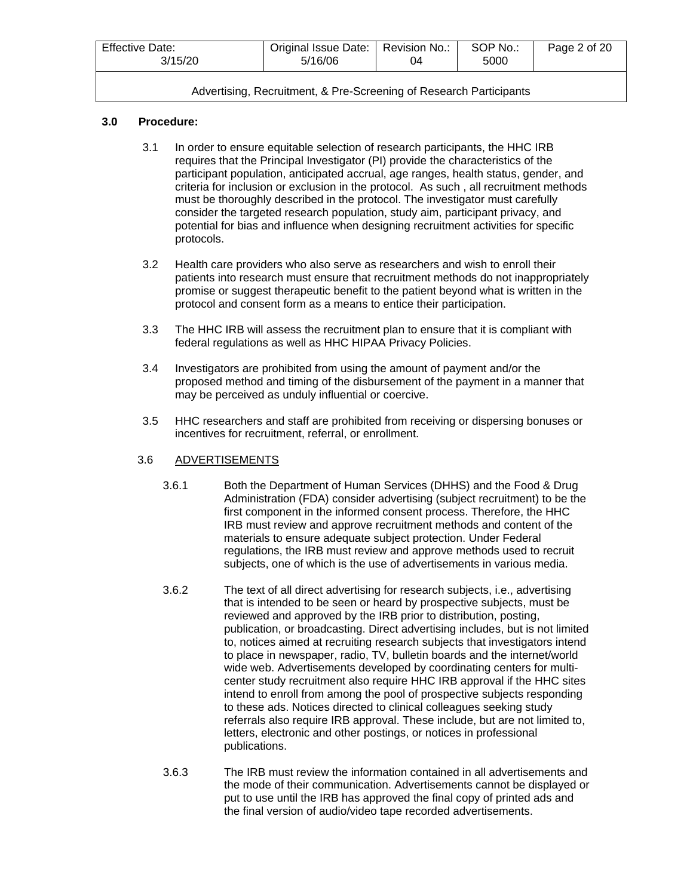| <b>Effective Date:</b> | Original Issue Date: | Revision No.: | SOP No.: | Page 2 of 20 |
|------------------------|----------------------|---------------|----------|--------------|
| 3/15/20                | 5/16/06              | 04            | 5000     |              |
|                        |                      |               |          |              |

# **3.0 Procedure:**

- 3.1 In order to ensure equitable selection of research participants, the HHC IRB requires that the Principal Investigator (PI) provide the characteristics of the participant population, anticipated accrual, age ranges, health status, gender, and criteria for inclusion or exclusion in the protocol. As such , all recruitment methods must be thoroughly described in the protocol. The investigator must carefully consider the targeted research population, study aim, participant privacy, and potential for bias and influence when designing recruitment activities for specific protocols.
- 3.2 Health care providers who also serve as researchers and wish to enroll their patients into research must ensure that recruitment methods do not inappropriately promise or suggest therapeutic benefit to the patient beyond what is written in the protocol and consent form as a means to entice their participation.
- 3.3 The HHC IRB will assess the recruitment plan to ensure that it is compliant with federal regulations as well as HHC HIPAA Privacy Policies.
- 3.4 Investigators are prohibited from using the amount of payment and/or the proposed method and timing of the disbursement of the payment in a manner that may be perceived as unduly influential or coercive.
- 3.5 HHC researchers and staff are prohibited from receiving or dispersing bonuses or incentives for recruitment, referral, or enrollment.

# 3.6 ADVERTISEMENTS

- 3.6.1 Both the Department of Human Services (DHHS) and the Food & Drug Administration (FDA) consider advertising (subject recruitment) to be the first component in the informed consent process. Therefore, the HHC IRB must review and approve recruitment methods and content of the materials to ensure adequate subject protection. Under Federal regulations, the IRB must review and approve methods used to recruit subjects, one of which is the use of advertisements in various media.
- 3.6.2 The text of all direct advertising for research subjects, i.e., advertising that is intended to be seen or heard by prospective subjects, must be reviewed and approved by the IRB prior to distribution, posting, publication, or broadcasting. Direct advertising includes, but is not limited to, notices aimed at recruiting research subjects that investigators intend to place in newspaper, radio, TV, bulletin boards and the internet/world wide web. Advertisements developed by coordinating centers for multicenter study recruitment also require HHC IRB approval if the HHC sites intend to enroll from among the pool of prospective subjects responding to these ads. Notices directed to clinical colleagues seeking study referrals also require IRB approval. These include, but are not limited to, letters, electronic and other postings, or notices in professional publications.
- 3.6.3 The IRB must review the information contained in all advertisements and the mode of their communication. Advertisements cannot be displayed or put to use until the IRB has approved the final copy of printed ads and the final version of audio/video tape recorded advertisements.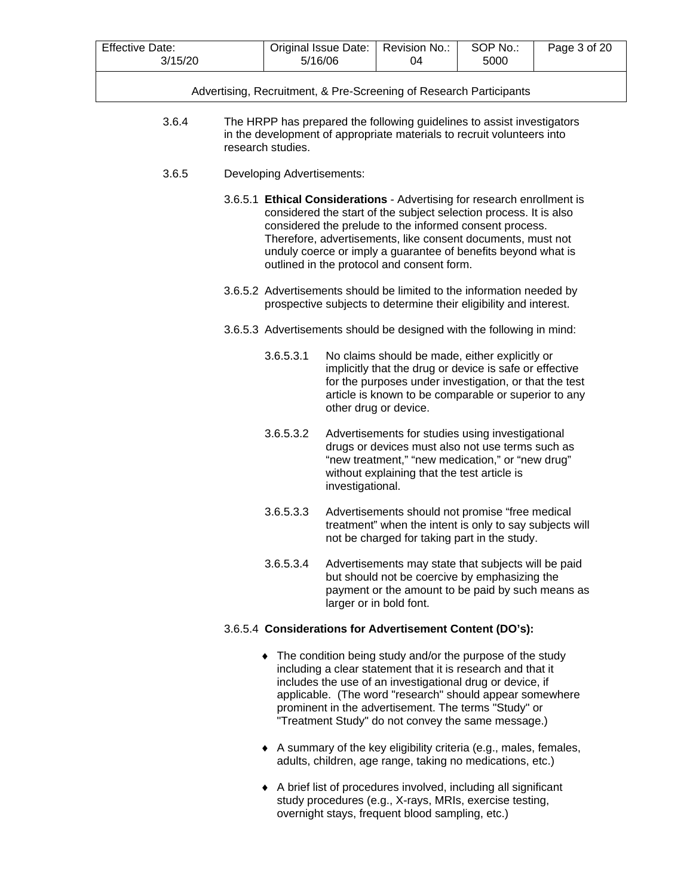| <b>Effective Date:</b> | Original Issue Date: | Revision No.: | SOP No.: | Page 3 of 20 |
|------------------------|----------------------|---------------|----------|--------------|
| 3/15/20<br>JI.         | 5/16/06              | 04            | 5000     |              |

- 3.6.4 The HRPP has prepared the following guidelines to assist investigators in the development of appropriate materials to recruit volunteers into research studies.
- 3.6.5 Developing Advertisements:
	- 3.6.5.1 **Ethical Considerations** Advertising for research enrollment is considered the start of the subject selection process. It is also considered the prelude to the informed consent process. Therefore, advertisements, like consent documents, must not unduly coerce or imply a guarantee of benefits beyond what is outlined in the protocol and consent form.
	- 3.6.5.2 Advertisements should be limited to the information needed by prospective subjects to determine their eligibility and interest.
	- 3.6.5.3 Advertisements should be designed with the following in mind:
		- 3.6.5.3.1 No claims should be made, either explicitly or implicitly that the drug or device is safe or effective for the purposes under investigation, or that the test article is known to be comparable or superior to any other drug or device.
		- 3.6.5.3.2 Advertisements for studies using investigational drugs or devices must also not use terms such as "new treatment," "new medication," or "new drug" without explaining that the test article is investigational.
		- 3.6.5.3.3 Advertisements should not promise "free medical treatment" when the intent is only to say subjects will not be charged for taking part in the study.
		- 3.6.5.3.4 Advertisements may state that subjects will be paid but should not be coercive by emphasizing the payment or the amount to be paid by such means as larger or in bold font.

# 3.6.5.4 **Considerations for Advertisement Content (DO's):**

- ♦ The condition being study and/or the purpose of the study including a clear statement that it is research and that it includes the use of an investigational drug or device, if applicable. (The word "research" should appear somewhere prominent in the advertisement. The terms "Study" or "Treatment Study" do not convey the same message.)
- ♦ A summary of the key eligibility criteria (e.g., males, females, adults, children, age range, taking no medications, etc.)
- ♦ A brief list of procedures involved, including all significant study procedures (e.g., X-rays, MRIs, exercise testing, overnight stays, frequent blood sampling, etc.)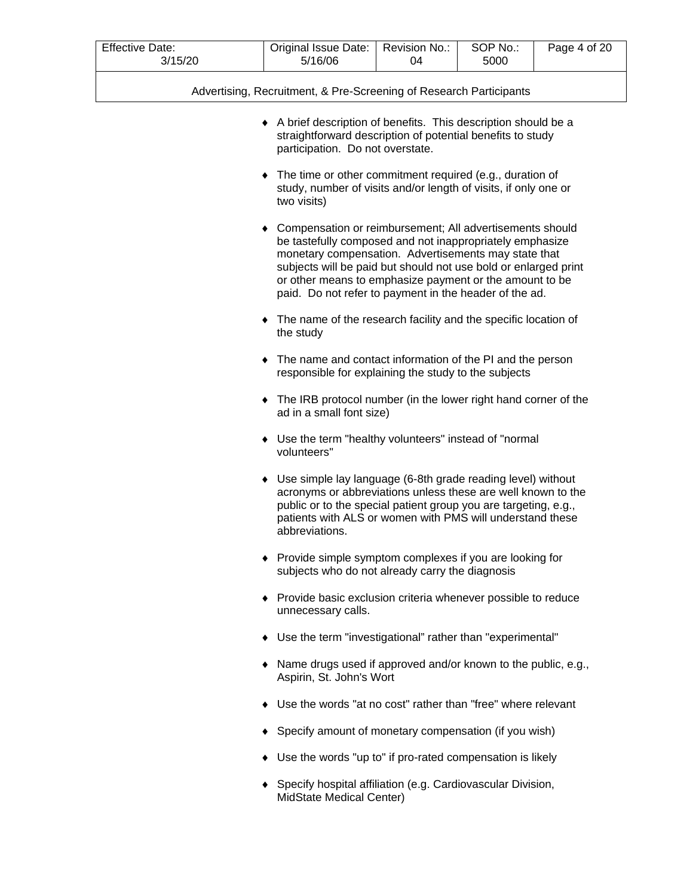| <b>Effective Date:</b> | Original Issue Date: | Revision No.: | SOP No.: | Page 4 of 20 |
|------------------------|----------------------|---------------|----------|--------------|
| 3/15/20                | 5/16/06              |               | 5000     |              |

|  | Advertising, Recruitment, & Pre-Screening of Research Participants |
|--|--------------------------------------------------------------------|
|  |                                                                    |

- ♦ A brief description of benefits. This description should be a straightforward description of potential benefits to study participation. Do not overstate.
- ♦ The time or other commitment required (e.g., duration of study, number of visits and/or length of visits, if only one or two visits)
- ♦ Compensation or reimbursement; All advertisements should be tastefully composed and not inappropriately emphasize monetary compensation. Advertisements may state that subjects will be paid but should not use bold or enlarged print or other means to emphasize payment or the amount to be paid. Do not refer to payment in the header of the ad.
- ♦ The name of the research facility and the specific location of the study
- ♦ The name and contact information of the PI and the person responsible for explaining the study to the subjects
- ♦ The IRB protocol number (in the lower right hand corner of the ad in a small font size)
- ♦ Use the term "healthy volunteers" instead of "normal volunteers"
- ♦ Use simple lay language (6-8th grade reading level) without acronyms or abbreviations unless these are well known to the public or to the special patient group you are targeting, e.g., patients with ALS or women with PMS will understand these abbreviations.
- ♦ Provide simple symptom complexes if you are looking for subjects who do not already carry the diagnosis
- ♦ Provide basic exclusion criteria whenever possible to reduce unnecessary calls.
- ♦ Use the term "investigational" rather than "experimental"
- ♦ Name drugs used if approved and/or known to the public, e.g., Aspirin, St. John's Wort
- ♦ Use the words "at no cost" rather than "free" where relevant
- ♦ Specify amount of monetary compensation (if you wish)
- ♦ Use the words "up to" if pro-rated compensation is likely
- ♦ Specify hospital affiliation (e.g. Cardiovascular Division, MidState Medical Center)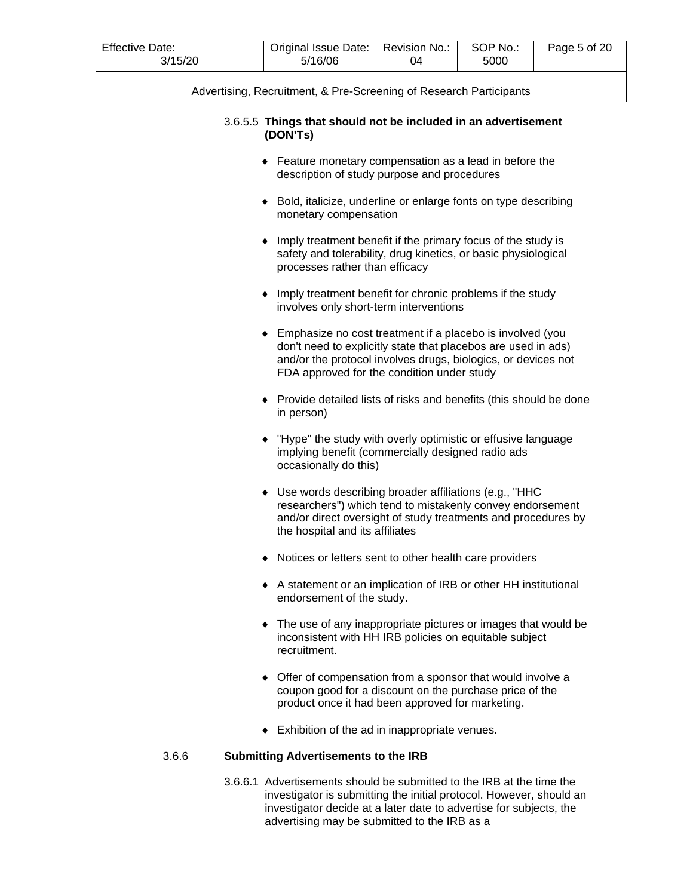| <b>Effective Date:</b><br>3/15/20 | SOP No.:<br>Original Issue Date:<br>Revision No.:<br>Page 5 of 20<br>5/16/06<br>04<br>5000                                                                                                                                                |  |  |  |  |  |  |  |
|-----------------------------------|-------------------------------------------------------------------------------------------------------------------------------------------------------------------------------------------------------------------------------------------|--|--|--|--|--|--|--|
|                                   | Advertising, Recruitment, & Pre-Screening of Research Participants                                                                                                                                                                        |  |  |  |  |  |  |  |
|                                   | 3.6.5.5 Things that should not be included in an advertisement<br>(DON'Ts)                                                                                                                                                                |  |  |  |  |  |  |  |
|                                   | • Feature monetary compensation as a lead in before the<br>description of study purpose and procedures                                                                                                                                    |  |  |  |  |  |  |  |
|                                   | Bold, italicize, underline or enlarge fonts on type describing<br>monetary compensation                                                                                                                                                   |  |  |  |  |  |  |  |
|                                   | Imply treatment benefit if the primary focus of the study is<br>safety and tolerability, drug kinetics, or basic physiological<br>processes rather than efficacy                                                                          |  |  |  |  |  |  |  |
|                                   | Imply treatment benefit for chronic problems if the study<br>involves only short-term interventions                                                                                                                                       |  |  |  |  |  |  |  |
|                                   | Emphasize no cost treatment if a placebo is involved (you<br>don't need to explicitly state that placebos are used in ads)<br>and/or the protocol involves drugs, biologics, or devices not<br>FDA approved for the condition under study |  |  |  |  |  |  |  |
|                                   | Provide detailed lists of risks and benefits (this should be done<br>in person)                                                                                                                                                           |  |  |  |  |  |  |  |
|                                   | "Hype" the study with overly optimistic or effusive language<br>implying benefit (commercially designed radio ads<br>occasionally do this)                                                                                                |  |  |  |  |  |  |  |
|                                   | Use words describing broader affiliations (e.g., "HHC<br>researchers") which tend to mistakenly convey endorsement<br>and/or direct oversight of study treatments and procedures by<br>the hospital and its affiliates                    |  |  |  |  |  |  |  |
|                                   | Notices or letters sent to other health care providers                                                                                                                                                                                    |  |  |  |  |  |  |  |
|                                   | A statement or an implication of IRB or other HH institutional<br>endorsement of the study.                                                                                                                                               |  |  |  |  |  |  |  |
|                                   | The use of any inappropriate pictures or images that would be<br>٠<br>inconsistent with HH IRB policies on equitable subject<br>recruitment.                                                                                              |  |  |  |  |  |  |  |
|                                   | Offer of compensation from a sponsor that would involve a<br>٠<br>coupon good for a discount on the purchase price of the<br>product once it had been approved for marketing.                                                             |  |  |  |  |  |  |  |
|                                   | Exhibition of the ad in inappropriate venues.                                                                                                                                                                                             |  |  |  |  |  |  |  |
| 3.6.6                             | <b>Submitting Advertisements to the IRB</b>                                                                                                                                                                                               |  |  |  |  |  |  |  |

3.6.6.1 Advertisements should be submitted to the IRB at the time the investigator is submitting the initial protocol. However, should an investigator decide at a later date to advertise for subjects, the advertising may be submitted to the IRB as a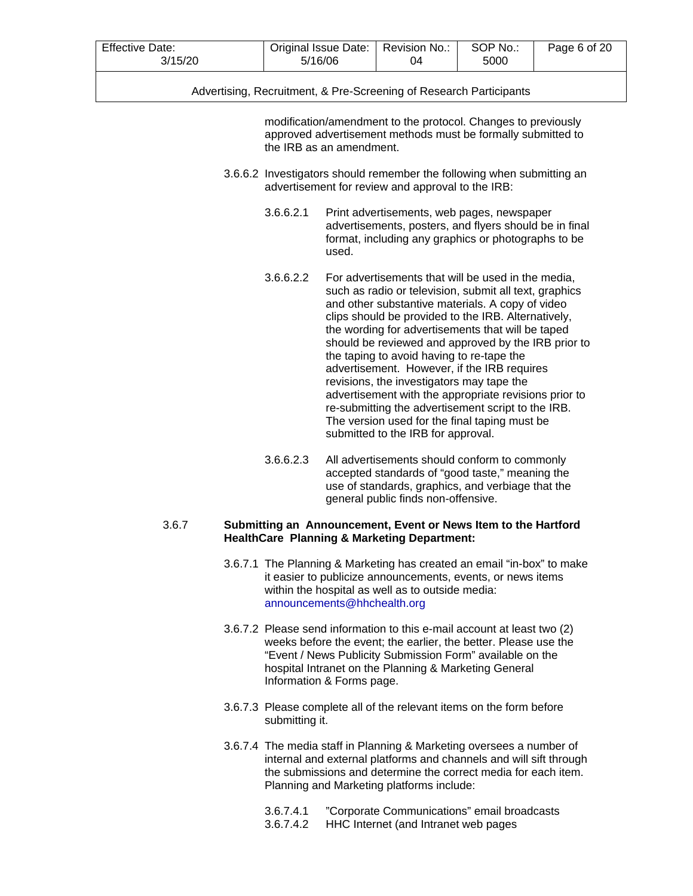| <b>Effective Date:</b> | Original Issue Date: | Revision No.: | SOP No.: | Page 6 of 20 |
|------------------------|----------------------|---------------|----------|--------------|
| 3/15/20                | 5/16/06              | 04            | 5000     |              |

modification/amendment to the protocol. Changes to previously approved advertisement methods must be formally submitted to the IRB as an amendment.

- 3.6.6.2 Investigators should remember the following when submitting an advertisement for review and approval to the IRB:
	- 3.6.6.2.1 Print advertisements, web pages, newspaper advertisements, posters, and flyers should be in final format, including any graphics or photographs to be used.
	- 3.6.6.2.2 For advertisements that will be used in the media, such as radio or television, submit all text, graphics and other substantive materials. A copy of video clips should be provided to the IRB. Alternatively, the wording for advertisements that will be taped should be reviewed and approved by the IRB prior to the taping to avoid having to re-tape the advertisement. However, if the IRB requires revisions, the investigators may tape the advertisement with the appropriate revisions prior to re-submitting the advertisement script to the IRB. The version used for the final taping must be submitted to the IRB for approval.
	- 3.6.6.2.3 All advertisements should conform to commonly accepted standards of "good taste," meaning the use of standards, graphics, and verbiage that the general public finds non-offensive.

# 3.6.7 **Submitting an Announcement, Event or News Item to the Hartford HealthCare Planning & Marketing Department:**

- 3.6.7.1 The Planning & Marketing has created an email "in-box" to make it easier to publicize announcements, events, or news items within the hospital as well as to outside media: [announcements@hhchealth.org](mailto:announcements@hhchealth.org)
- 3.6.7.2 Please send information to this e-mail account at least two (2) weeks before the event; the earlier, the better. Please use the "Event / News Publicity Submission Form" available on the hospital Intranet on the Planning & Marketing General Information & Forms page.
- 3.6.7.3 Please complete all of the relevant items on the form before submitting it.
- 3.6.7.4 The media staff in Planning & Marketing oversees a number of internal and external platforms and channels and will sift through the submissions and determine the correct media for each item. Planning and Marketing platforms include:
	- 3.6.7.4.1 "Corporate Communications" email broadcasts
	- 3.6.7.4.2 HHC Internet (and Intranet web pages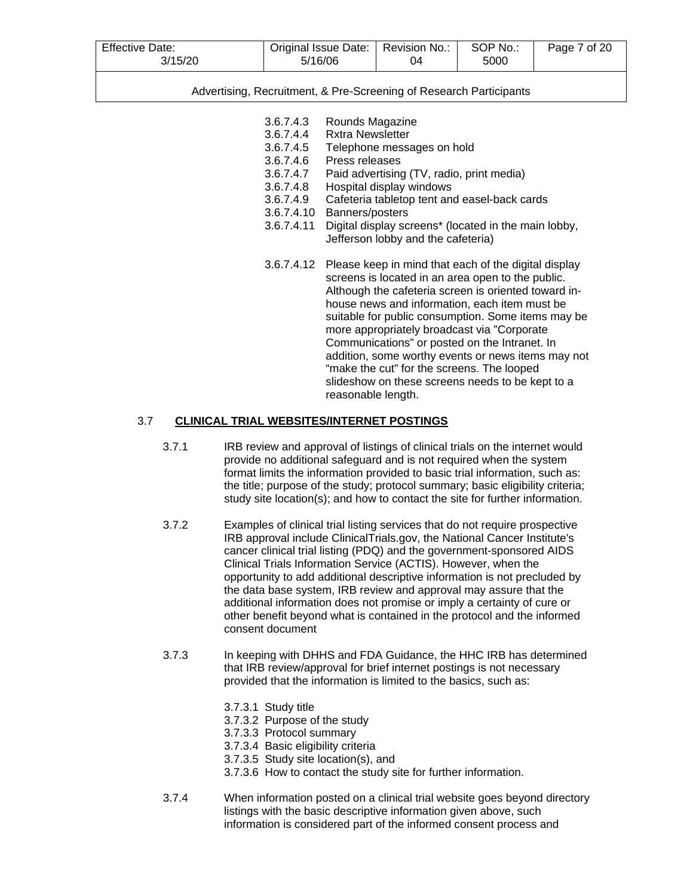| <b>Effective Date:</b> | Original Issue Date: | Revision No | SOP No.: | 7 of 20<br>Page |
|------------------------|----------------------|-------------|----------|-----------------|
| 15/20                  | 5/16/06              | 04          | 5000     |                 |

- 3.6.7.4.3 Rounds Magazine
- 3.6.7.4.4 Rxtra Newsletter
- 3.6.7.4.5 Telephone messages on hold
- 3.6.7.4.6 Press releases<br>3.6.7.4.7 Paid advertisine
	- Paid advertising (TV, radio, print media)
- 3.6.7.4.8 Hospital display windows
- 3.6.7.4.9 Cafeteria tabletop tent and easel-back cards
- 3.6.7.4.10 Banners/posters
- 3.6.7.4.11 Digital display screens\* (located in the main lobby, Jefferson lobby and the cafeteria)
- 3.6.7.4.12 Please keep in mind that each of the digital display screens is located in an area open to the public. Although the cafeteria screen is oriented toward inhouse news and information, each item must be suitable for public consumption. Some items may be more appropriately broadcast via "Corporate Communications" or posted on the Intranet. In addition, some worthy events or news items may not "make the cut" for the screens. The looped slideshow on these screens needs to be kept to a reasonable length.

# 3.7 **CLINICAL TRIAL WEBSITES/INTERNET POSTINGS**

- 3.7.1 IRB review and approval of listings of clinical trials on the internet would provide no additional safeguard and is not required when the system format limits the information provided to basic trial information, such as: the title; purpose of the study; protocol summary; basic eligibility criteria; study site location(s); and how to contact the site for further information.
- 3.7.2 Examples of clinical trial listing services that do not require prospective IRB approval include ClinicalTrials.gov, the National Cancer Institute's cancer clinical trial listing (PDQ) and the government-sponsored AIDS Clinical Trials Information Service (ACTIS). However, when the opportunity to add additional descriptive information is not precluded by the data base system, IRB review and approval may assure that the additional information does not promise or imply a certainty of cure or other benefit beyond what is contained in the protocol and the informed consent document
- 3.7.3 In keeping with DHHS and FDA Guidance, the HHC IRB has determined that IRB review/approval for brief internet postings is not necessary provided that the information is limited to the basics, such as:
	- 3.7.3.1 Study title
	- 3.7.3.2 Purpose of the study
	- 3.7.3.3 Protocol summary
	- 3.7.3.4 Basic eligibility criteria
	- 3.7.3.5 Study site location(s), and
	- 3.7.3.6 How to contact the study site for further information.
- 3.7.4 When information posted on a clinical trial website goes beyond directory listings with the basic descriptive information given above, such information is considered part of the informed consent process and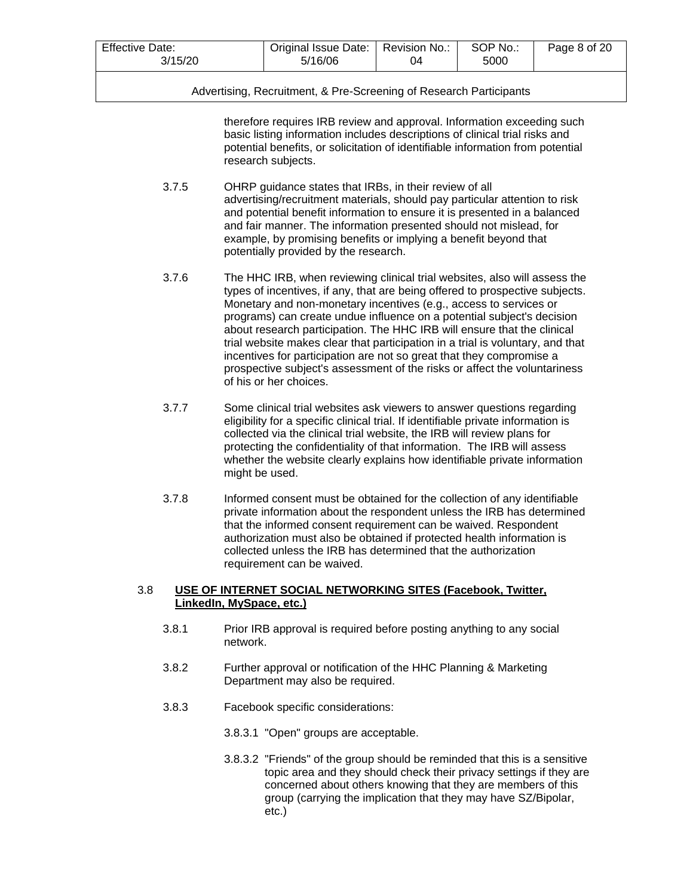| <b>Effective Date:</b> | Original Issue Date: I | Revision No.: | SOP No.: | Page 8 of 20 |
|------------------------|------------------------|---------------|----------|--------------|
| 3/15/20                | 5/16/06                |               | 5000     |              |

therefore requires IRB review and approval. Information exceeding such basic listing information includes descriptions of clinical trial risks and potential benefits, or solicitation of identifiable information from potential research subjects.

- 3.7.5 OHRP guidance states that IRBs, in their review of all advertising/recruitment materials, should pay particular attention to risk and potential benefit information to ensure it is presented in a balanced and fair manner. The information presented should not mislead, for example, by promising benefits or implying a benefit beyond that potentially provided by the research.
- 3.7.6 The HHC IRB, when reviewing clinical trial websites, also will assess the types of incentives, if any, that are being offered to prospective subjects. Monetary and non-monetary incentives (e.g., access to services or programs) can create undue influence on a potential subject's decision about research participation. The HHC IRB will ensure that the clinical trial website makes clear that participation in a trial is voluntary, and that incentives for participation are not so great that they compromise a prospective subject's assessment of the risks or affect the voluntariness of his or her choices.
- 3.7.7 Some clinical trial websites ask viewers to answer questions regarding eligibility for a specific clinical trial. If identifiable private information is collected via the clinical trial website, the IRB will review plans for protecting the confidentiality of that information. The IRB will assess whether the website clearly explains how identifiable private information might be used.
- 3.7.8 Informed consent must be obtained for the collection of any identifiable private information about the respondent unless the IRB has determined that the informed consent requirement can be waived. Respondent authorization must also be obtained if protected health information is collected unless the IRB has determined that the authorization requirement can be waived.

# 3.8 **USE OF INTERNET SOCIAL NETWORKING SITES (Facebook, Twitter, LinkedIn, MySpace, etc.)**

- 3.8.1 Prior IRB approval is required before posting anything to any social network.
- 3.8.2 Further approval or notification of the HHC Planning & Marketing Department may also be required.
- 3.8.3 Facebook specific considerations:
	- 3.8.3.1 "Open" groups are acceptable.
	- 3.8.3.2 "Friends" of the group should be reminded that this is a sensitive topic area and they should check their privacy settings if they are concerned about others knowing that they are members of this group (carrying the implication that they may have SZ/Bipolar, etc.)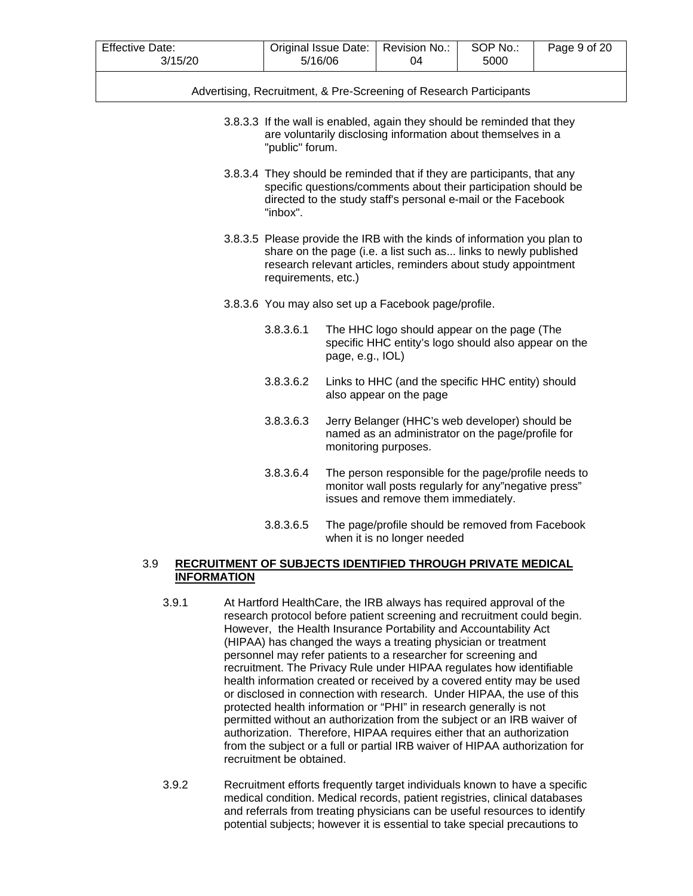| <b>Effective Date:</b> | Original Issue Date: | Revision No | SOP No.: | Page 9 of 20 |
|------------------------|----------------------|-------------|----------|--------------|
| 3/15/20                | 5/16/06              | ገ4          | 5000     |              |
|                        |                      |             |          |              |

|  | Advertising, Recruitment, & Pre-Screening of Research Participants |  |  |
|--|--------------------------------------------------------------------|--|--|
|  |                                                                    |  |  |

- 3.8.3.3 If the wall is enabled, again they should be reminded that they are voluntarily disclosing information about themselves in a "public" forum.
- 3.8.3.4 They should be reminded that if they are participants, that any specific questions/comments about their participation should be directed to the study staff's personal e-mail or the Facebook "inbox".
- 3.8.3.5 Please provide the IRB with the kinds of information you plan to share on the page (i.e. a list such as... links to newly published research relevant articles, reminders about study appointment requirements, etc.)
- 3.8.3.6 You may also set up a Facebook page/profile.
	- 3.8.3.6.1 The HHC logo should appear on the page (The specific HHC entity's logo should also appear on the page, e.g., IOL)
	- 3.8.3.6.2 Links to HHC (and the specific HHC entity) should also appear on the page
	- 3.8.3.6.3 Jerry Belanger (HHC's web developer) should be named as an administrator on the page/profile for monitoring purposes.
	- 3.8.3.6.4 The person responsible for the page/profile needs to monitor wall posts regularly for any"negative press" issues and remove them immediately.
	- 3.8.3.6.5 The page/profile should be removed from Facebook when it is no longer needed

# 3.9 **RECRUITMENT OF SUBJECTS IDENTIFIED THROUGH PRIVATE MEDICAL INFORMATION**

- 3.9.1 At Hartford HealthCare, the IRB always has required approval of the research protocol before patient screening and recruitment could begin. However, the Health Insurance Portability and Accountability Act (HIPAA) has changed the ways a treating physician or treatment personnel may refer patients to a researcher for screening and recruitment. The Privacy Rule under HIPAA regulates how identifiable health information created or received by a covered entity may be used or disclosed in connection with research. Under HIPAA, the use of this protected health information or "PHI" in research generally is not permitted without an authorization from the subject or an IRB waiver of authorization. Therefore, HIPAA requires either that an authorization from the subject or a full or partial IRB waiver of HIPAA authorization for recruitment be obtained.
- 3.9.2 Recruitment efforts frequently target individuals known to have a specific medical condition. Medical records, patient registries, clinical databases and referrals from treating physicians can be useful resources to identify potential subjects; however it is essential to take special precautions to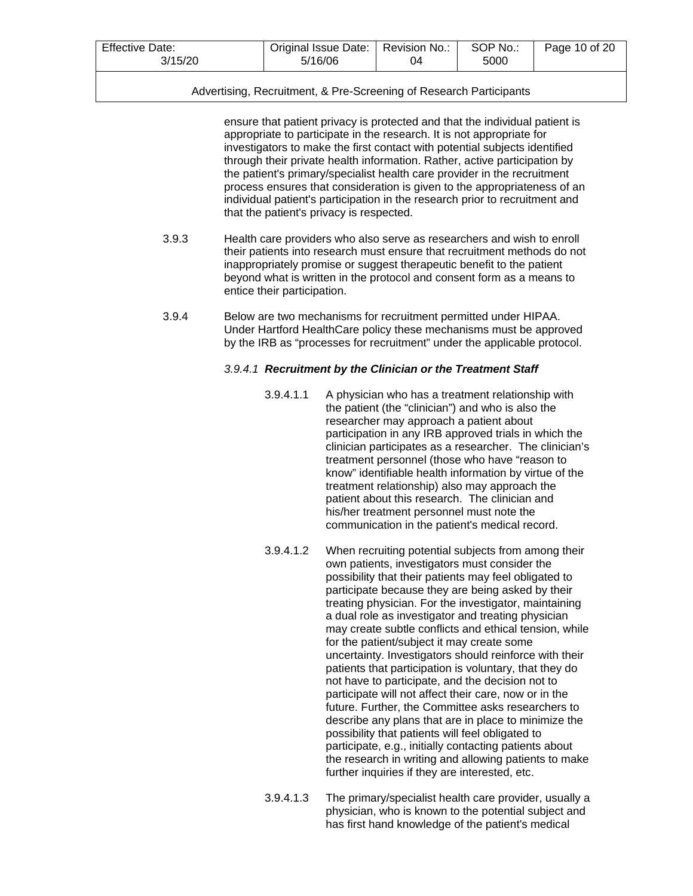| <b>Effective Date:</b> | Original Issue Date: | Revision No.: | SOP No.: | Page 10 of 20 |
|------------------------|----------------------|---------------|----------|---------------|
| 3/15/20<br>5/16/06     |                      | 04            | 5000     |               |

ensure that patient privacy is protected and that the individual patient is appropriate to participate in the research. It is not appropriate for investigators to make the first contact with potential subjects identified through their private health information. Rather, active participation by the patient's primary/specialist health care provider in the recruitment process ensures that consideration is given to the appropriateness of an individual patient's participation in the research prior to recruitment and that the patient's privacy is respected.

- 3.9.3 Health care providers who also serve as researchers and wish to enroll their patients into research must ensure that recruitment methods do not inappropriately promise or suggest therapeutic benefit to the patient beyond what is written in the protocol and consent form as a means to entice their participation.
- 3.9.4 Below are two mechanisms for recruitment permitted under HIPAA. Under Hartford HealthCare policy these mechanisms must be approved by the IRB as "processes for recruitment" under the applicable protocol.

# *3.9.4.1 Recruitment by the Clinician or the Treatment Staff*

- 3.9.4.1.1 A physician who has a treatment relationship with the patient (the "clinician") and who is also the researcher may approach a patient about participation in any IRB approved trials in which the clinician participates as a researcher. The clinician's treatment personnel (those who have "reason to know" identifiable health information by virtue of the treatment relationship) also may approach the patient about this research. The clinician and his/her treatment personnel must note the communication in the patient's medical record.
- 3.9.4.1.2 When recruiting potential subjects from among their own patients, investigators must consider the possibility that their patients may feel obligated to participate because they are being asked by their treating physician. For the investigator, maintaining a dual role as investigator and treating physician may create subtle conflicts and ethical tension, while for the patient/subject it may create some uncertainty. Investigators should reinforce with their patients that participation is voluntary, that they do not have to participate, and the decision not to participate will not affect their care, now or in the future. Further, the Committee asks researchers to describe any plans that are in place to minimize the possibility that patients will feel obligated to participate, e.g., initially contacting patients about the research in writing and allowing patients to make further inquiries if they are interested, etc.
- 3.9.4.1.3 The primary/specialist health care provider, usually a physician, who is known to the potential subject and has first hand knowledge of the patient's medical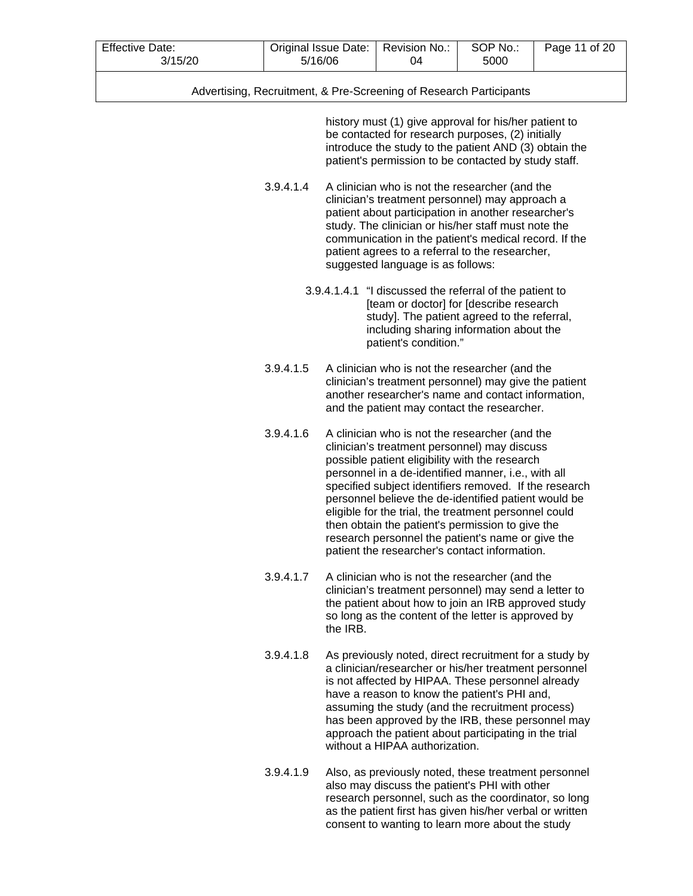| <b>Effective Date:</b> | Original Issue Date: | Revision No.: | SOP No.: | Page 11 of 20 |
|------------------------|----------------------|---------------|----------|---------------|
| 3/15/20                | 5/16/06              | 04            | 5000     |               |

history must (1) give approval for his/her patient to be contacted for research purposes, (2) initially introduce the study to the patient AND (3) obtain the patient's permission to be contacted by study staff.

3.9.4.1.4 A clinician who is not the researcher (and the clinician's treatment personnel) may approach a patient about participation in another researcher's study. The clinician or his/her staff must note the communication in the patient's medical record. If the patient agrees to a referral to the researcher, suggested language is as follows:

- 3.9.4.1.4.1 "I discussed the referral of the patient to [team or doctor] for [describe research study]. The patient agreed to the referral, including sharing information about the patient's condition."
- 3.9.4.1.5 A clinician who is not the researcher (and the clinician's treatment personnel) may give the patient another researcher's name and contact information, and the patient may contact the researcher.
- 3.9.4.1.6 A clinician who is not the researcher (and the clinician's treatment personnel) may discuss possible patient eligibility with the research personnel in a de-identified manner, i.e., with all specified subject identifiers removed. If the research personnel believe the de-identified patient would be eligible for the trial, the treatment personnel could then obtain the patient's permission to give the research personnel the patient's name or give the patient the researcher's contact information.
- 3.9.4.1.7 A clinician who is not the researcher (and the clinician's treatment personnel) may send a letter to the patient about how to join an IRB approved study so long as the content of the letter is approved by the IRB.
- 3.9.4.1.8 As previously noted, direct recruitment for a study by a clinician/researcher or his/her treatment personnel is not affected by HIPAA. These personnel already have a reason to know the patient's PHI and, assuming the study (and the recruitment process) has been approved by the IRB, these personnel may approach the patient about participating in the trial without a HIPAA authorization.
- 3.9.4.1.9 Also, as previously noted, these treatment personnel also may discuss the patient's PHI with other research personnel, such as the coordinator, so long as the patient first has given his/her verbal or written consent to wanting to learn more about the study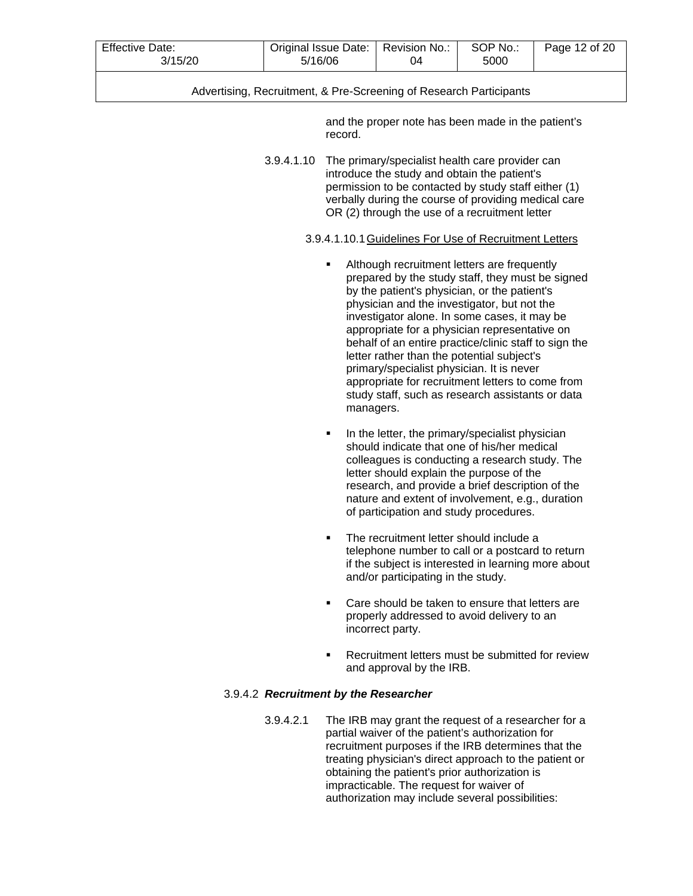| <b>Effective Date:</b><br>3/15/20 | Original Issue Date:   Revision No.:<br>5/16/06 | 04 | SOP No.:<br>5000 | Page 12 of 20 |
|-----------------------------------|-------------------------------------------------|----|------------------|---------------|
|                                   |                                                 |    |                  |               |

and the proper note has been made in the patient's record.

3.9.4.1.10 The primary/specialist health care provider can introduce the study and obtain the patient's permission to be contacted by study staff either (1) verbally during the course of providing medical care OR (2) through the use of a recruitment letter

# 3.9.4.1.10.1Guidelines For Use of Recruitment Letters

- Although recruitment letters are frequently prepared by the study staff, they must be signed by the patient's physician, or the patient's physician and the investigator, but not the investigator alone. In some cases, it may be appropriate for a physician representative on behalf of an entire practice/clinic staff to sign the letter rather than the potential subject's primary/specialist physician. It is never appropriate for recruitment letters to come from study staff, such as research assistants or data managers.
- In the letter, the primary/specialist physician should indicate that one of his/her medical colleagues is conducting a research study. The letter should explain the purpose of the research, and provide a brief description of the nature and extent of involvement, e.g., duration of participation and study procedures.
- The recruitment letter should include a telephone number to call or a postcard to return if the subject is interested in learning more about and/or participating in the study.
- Care should be taken to ensure that letters are properly addressed to avoid delivery to an incorrect party.
- **Recruitment letters must be submitted for review** and approval by the IRB.

# 3.9.4.2 *Recruitment by the Researcher*

3.9.4.2.1 The IRB may grant the request of a researcher for a partial waiver of the patient's authorization for recruitment purposes if the IRB determines that the treating physician's direct approach to the patient or obtaining the patient's prior authorization is impracticable. The request for waiver of authorization may include several possibilities: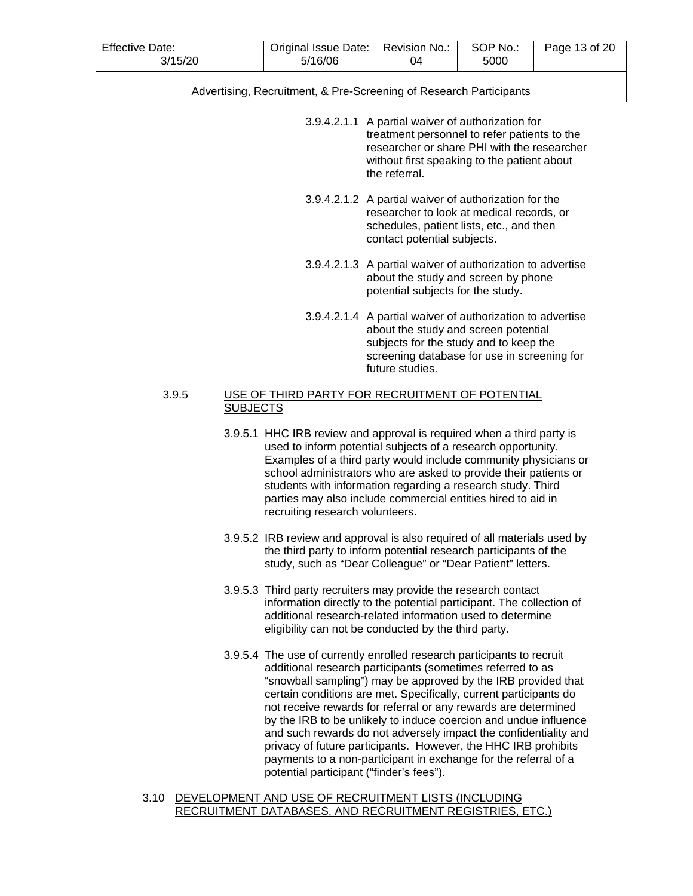| <b>Effective Date:</b> | Original Issue Date: | Revision No.: | SOP No.: | Page 13 of 20 |
|------------------------|----------------------|---------------|----------|---------------|
| 3/15/20                | 5/16/06              | 04            | 5000     |               |

- 3.9.4.2.1.1 A partial waiver of authorization for treatment personnel to refer patients to the researcher or share PHI with the researcher without first speaking to the patient about the referral.
- 3.9.4.2.1.2 A partial waiver of authorization for the researcher to look at medical records, or schedules, patient lists, etc., and then contact potential subjects.
- 3.9.4.2.1.3 A partial waiver of authorization to advertise about the study and screen by phone potential subjects for the study.
- 3.9.4.2.1.4 A partial waiver of authorization to advertise about the study and screen potential subjects for the study and to keep the screening database for use in screening for future studies.

# 3.9.5 USE OF THIRD PARTY FOR RECRUITMENT OF POTENTIAL **SUBJECTS**

- 3.9.5.1 HHC IRB review and approval is required when a third party is used to inform potential subjects of a research opportunity. Examples of a third party would include community physicians or school administrators who are asked to provide their patients or students with information regarding a research study. Third parties may also include commercial entities hired to aid in recruiting research volunteers.
- 3.9.5.2 IRB review and approval is also required of all materials used by the third party to inform potential research participants of the study, such as "Dear Colleague" or "Dear Patient" letters.
- 3.9.5.3 Third party recruiters may provide the research contact information directly to the potential participant. The collection of additional research-related information used to determine eligibility can not be conducted by the third party.
- 3.9.5.4 The use of currently enrolled research participants to recruit additional research participants (sometimes referred to as "snowball sampling") may be approved by the IRB provided that certain conditions are met. Specifically, current participants do not receive rewards for referral or any rewards are determined by the IRB to be unlikely to induce coercion and undue influence and such rewards do not adversely impact the confidentiality and privacy of future participants. However, the HHC IRB prohibits payments to a non-participant in exchange for the referral of a potential participant ("finder's fees").

#### 3.10 DEVELOPMENT AND USE OF RECRUITMENT LISTS (INCLUDING RECRUITMENT DATABASES, AND RECRUITMENT REGISTRIES, ETC.)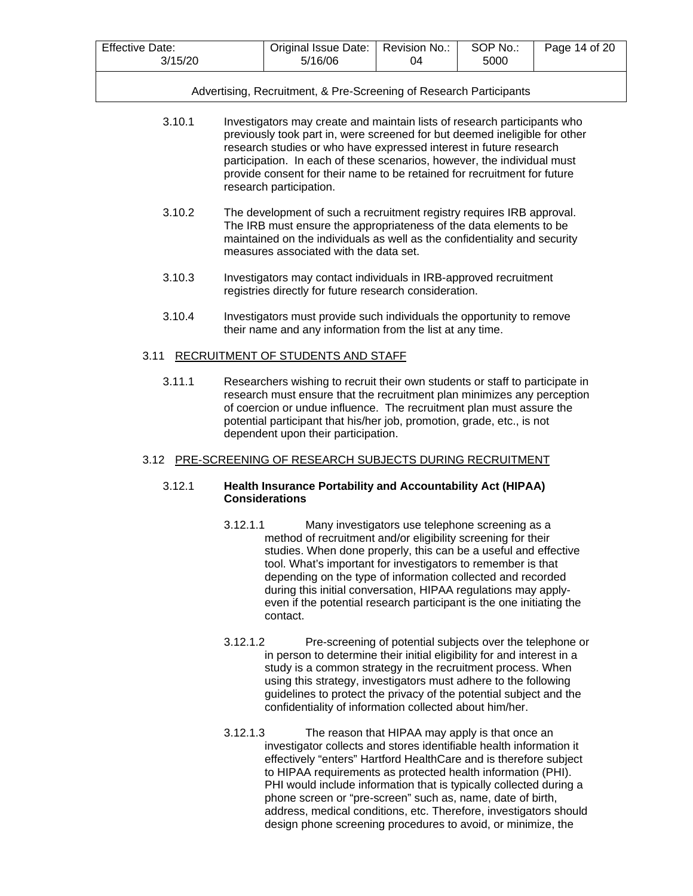| <b>Effective Date:</b> | Original Issue Date: | Revision No.: | SOP No.: | Page 14 of 20 |
|------------------------|----------------------|---------------|----------|---------------|
| 3/15/20                | 5/16/06              | 04            | 5000     |               |

|  | Advertising, Recruitment, & Pre-Screening of Research Participants |
|--|--------------------------------------------------------------------|
|  |                                                                    |

| 3.10.1 | Investigators may create and maintain lists of research participants who   |
|--------|----------------------------------------------------------------------------|
|        | previously took part in, were screened for but deemed ineligible for other |
|        | research studies or who have expressed interest in future research         |
|        | participation. In each of these scenarios, however, the individual must    |
|        | provide consent for their name to be retained for recruitment for future   |
|        | research participation.                                                    |

- 3.10.2 The development of such a recruitment registry requires IRB approval. The IRB must ensure the appropriateness of the data elements to be maintained on the individuals as well as the confidentiality and security measures associated with the data set.
- 3.10.3 Investigators may contact individuals in IRB-approved recruitment registries directly for future research consideration.
- 3.10.4 Investigators must provide such individuals the opportunity to remove their name and any information from the list at any time.

#### 3.11 RECRUITMENT OF STUDENTS AND STAFF

3.11.1 Researchers wishing to recruit their own students or staff to participate in research must ensure that the recruitment plan minimizes any perception of coercion or undue influence. The recruitment plan must assure the potential participant that his/her job, promotion, grade, etc., is not dependent upon their participation.

# 3.12 PRE-SCREENING OF RESEARCH SUBJECTS DURING RECRUITMENT

### 3.12.1 **Health Insurance Portability and Accountability Act (HIPAA) Considerations**

- 3.12.1.1 Many investigators use telephone screening as a method of recruitment and/or eligibility screening for their studies. When done properly, this can be a useful and effective tool. What's important for investigators to remember is that depending on the type of information collected and recorded during this initial conversation, HIPAA regulations may applyeven if the potential research participant is the one initiating the contact.
- 3.12.1.2 Pre-screening of potential subjects over the telephone or in person to determine their initial eligibility for and interest in a study is a common strategy in the recruitment process. When using this strategy, investigators must adhere to the following guidelines to protect the privacy of the potential subject and the confidentiality of information collected about him/her.
- 3.12.1.3 The reason that HIPAA may apply is that once an investigator collects and stores identifiable health information it effectively "enters" Hartford HealthCare and is therefore subject to HIPAA requirements as protected health information (PHI). PHI would include information that is typically collected during a phone screen or "pre-screen" such as, name, date of birth, address, medical conditions, etc. Therefore, investigators should design phone screening procedures to avoid, or minimize, the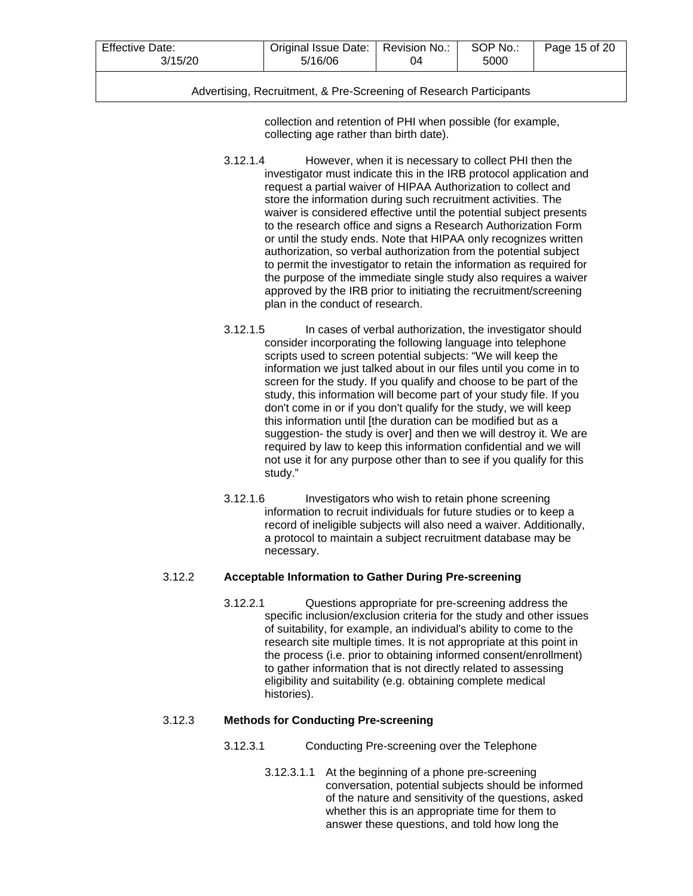| <b>Effective Date:</b> | Original Issue Date: | Revision No.: | SOP No.: | Page 15 of 20 |
|------------------------|----------------------|---------------|----------|---------------|
| 3/15/20                | 5/16/06              | 04            | 5000     |               |
|                        |                      |               |          |               |

collection and retention of PHI when possible (for example, collecting age rather than birth date).

- 3.12.1.4 However, when it is necessary to collect PHI then the investigator must indicate this in the IRB protocol application and request a partial waiver of HIPAA Authorization to collect and store the information during such recruitment activities. The waiver is considered effective until the potential subject presents to the research office and signs a Research Authorization Form or until the study ends. Note that HIPAA only recognizes written authorization, so verbal authorization from the potential subject to permit the investigator to retain the information as required for the purpose of the immediate single study also requires a waiver approved by the IRB prior to initiating the recruitment/screening plan in the conduct of research.
- 3.12.1.5 In cases of verbal authorization, the investigator should consider incorporating the following language into telephone scripts used to screen potential subjects: "We will keep the information we just talked about in our files until you come in to screen for the study. If you qualify and choose to be part of the study, this information will become part of your study file. If you don't come in or if you don't qualify for the study, we will keep this information until [the duration can be modified but as a suggestion- the study is over] and then we will destroy it. We are required by law to keep this information confidential and we will not use it for any purpose other than to see if you qualify for this study."
- 3.12.1.6 Investigators who wish to retain phone screening information to recruit individuals for future studies or to keep a record of ineligible subjects will also need a waiver. Additionally, a protocol to maintain a subject recruitment database may be necessary.

# 3.12.2 **Acceptable Information to Gather During Pre-screening**

3.12.2.1 Questions appropriate for pre-screening address the specific inclusion/exclusion criteria for the study and other issues of suitability, for example, an individual's ability to come to the research site multiple times. It is not appropriate at this point in the process (i.e. prior to obtaining informed consent/enrollment) to gather information that is not directly related to assessing eligibility and suitability (e.g. obtaining complete medical histories).

# 3.12.3 **Methods for Conducting Pre-screening**

- 3.12.3.1 Conducting Pre-screening over the Telephone
	- 3.12.3.1.1 At the beginning of a phone pre-screening conversation, potential subjects should be informed of the nature and sensitivity of the questions, asked whether this is an appropriate time for them to answer these questions, and told how long the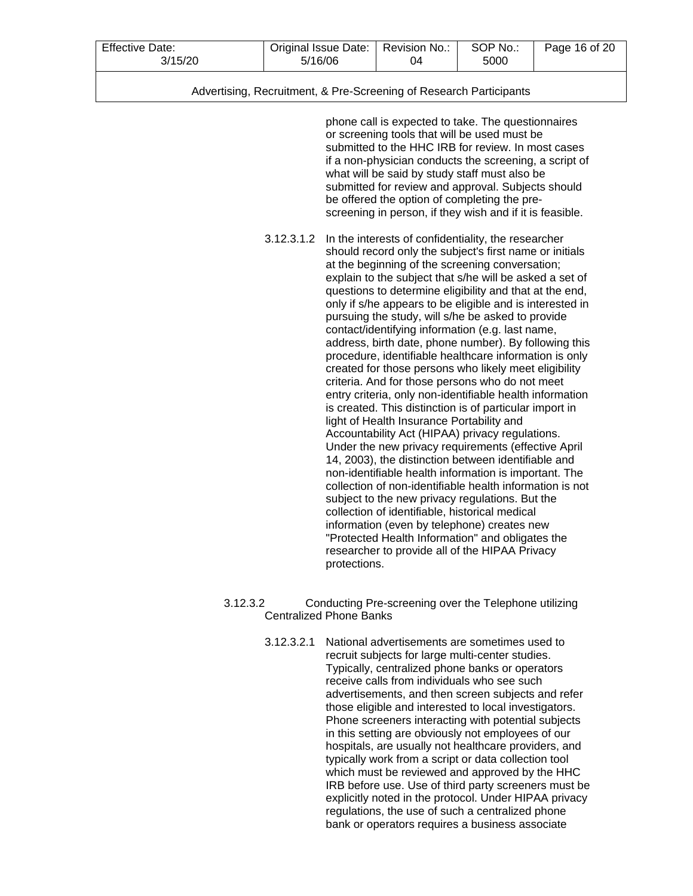| <b>Effective Date:</b> | Original Issue Date: | Revision No.: | SOP No.: | Page 16 of 20 |
|------------------------|----------------------|---------------|----------|---------------|
| 3/15/20                | 5/16/06              | 04            | 5000     |               |

| Advertising, Recruitment, & Pre-Screening of Research Participants |  |  |
|--------------------------------------------------------------------|--|--|
|                                                                    |  |  |

phone call is expected to take. The questionnaires or screening tools that will be used must be submitted to the HHC IRB for review. In most cases if a non-physician conducts the screening, a script of what will be said by study staff must also be submitted for review and approval. Subjects should be offered the option of completing the prescreening in person, if they wish and if it is feasible.

- 3.12.3.1.2 In the interests of confidentiality, the researcher should record only the subject's first name or initials at the beginning of the screening conversation; explain to the subject that s/he will be asked a set of questions to determine eligibility and that at the end, only if s/he appears to be eligible and is interested in pursuing the study, will s/he be asked to provide contact/identifying information (e.g. last name, address, birth date, phone number). By following this procedure, identifiable healthcare information is only created for those persons who likely meet eligibility criteria. And for those persons who do not meet entry criteria, only non-identifiable health information is created. This distinction is of particular import in light of Health Insurance Portability and Accountability Act (HIPAA) privacy regulations. Under the new privacy requirements (effective April 14, 2003), the distinction between identifiable and non-identifiable health information is important. The collection of non-identifiable health information is not subject to the new privacy regulations. But the collection of identifiable, historical medical information (even by telephone) creates new "Protected Health Information" and obligates the researcher to provide all of the HIPAA Privacy protections.
- 3.12.3.2 Conducting Pre-screening over the Telephone utilizing Centralized Phone Banks
	- 3.12.3.2.1 National advertisements are sometimes used to recruit subjects for large multi-center studies. Typically, centralized phone banks or operators receive calls from individuals who see such advertisements, and then screen subjects and refer those eligible and interested to local investigators. Phone screeners interacting with potential subjects in this setting are obviously not employees of our hospitals, are usually not healthcare providers, and typically work from a script or data collection tool which must be reviewed and approved by the HHC IRB before use. Use of third party screeners must be explicitly noted in the protocol. Under HIPAA privacy regulations, the use of such a centralized phone bank or operators requires a business associate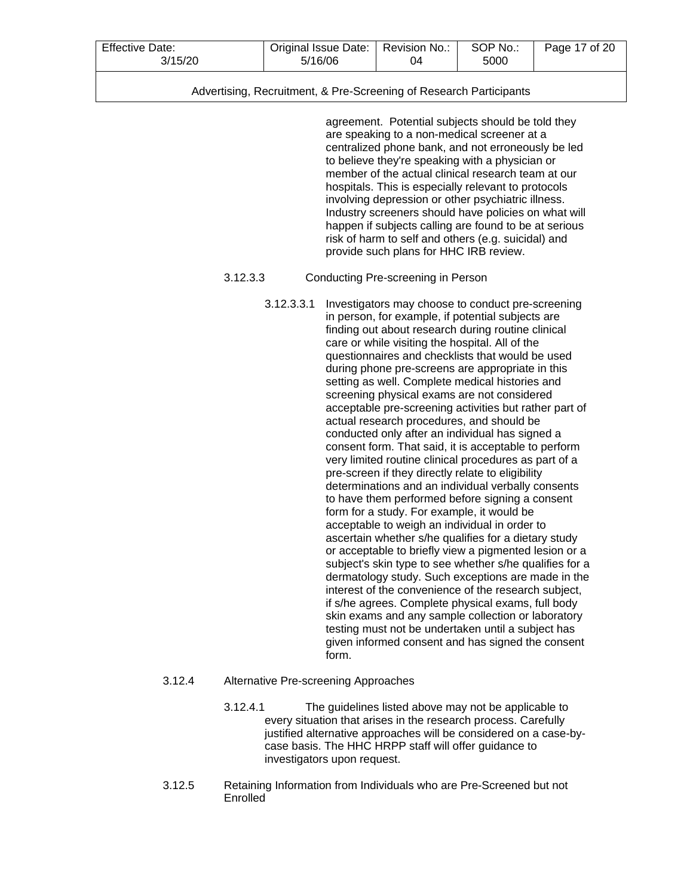| <b>Effective Date:</b> | Original Issue Date: | Revision No.: | SOP No.: | Page 17 of 20 |
|------------------------|----------------------|---------------|----------|---------------|
| 3/15/20                | 5/16/06              | 04            | 5000     |               |

agreement. Potential subjects should be told they are speaking to a non-medical screener at a centralized phone bank, and not erroneously be led to believe they're speaking with a physician or member of the actual clinical research team at our hospitals. This is especially relevant to protocols involving depression or other psychiatric illness. Industry screeners should have policies on what will happen if subjects calling are found to be at serious risk of harm to self and others (e.g. suicidal) and provide such plans for HHC IRB review.

# 3.12.3.3 Conducting Pre-screening in Person

3.12.3.3.1 Investigators may choose to conduct pre-screening in person, for example, if potential subjects are finding out about research during routine clinical care or while visiting the hospital. All of the questionnaires and checklists that would be used during phone pre-screens are appropriate in this setting as well. Complete medical histories and screening physical exams are not considered acceptable pre-screening activities but rather part of actual research procedures, and should be conducted only after an individual has signed a consent form. That said, it is acceptable to perform very limited routine clinical procedures as part of a pre-screen if they directly relate to eligibility determinations and an individual verbally consents to have them performed before signing a consent form for a study. For example, it would be acceptable to weigh an individual in order to ascertain whether s/he qualifies for a dietary study or acceptable to briefly view a pigmented lesion or a subject's skin type to see whether s/he qualifies for a dermatology study. Such exceptions are made in the interest of the convenience of the research subject, if s/he agrees. Complete physical exams, full body skin exams and any sample collection or laboratory testing must not be undertaken until a subject has given informed consent and has signed the consent form.

# 3.12.4 Alternative Pre-screening Approaches

- 3.12.4.1 The guidelines listed above may not be applicable to every situation that arises in the research process. Carefully justified alternative approaches will be considered on a case-bycase basis. The HHC HRPP staff will offer guidance to investigators upon request.
- 3.12.5 Retaining Information from Individuals who are Pre-Screened but not Enrolled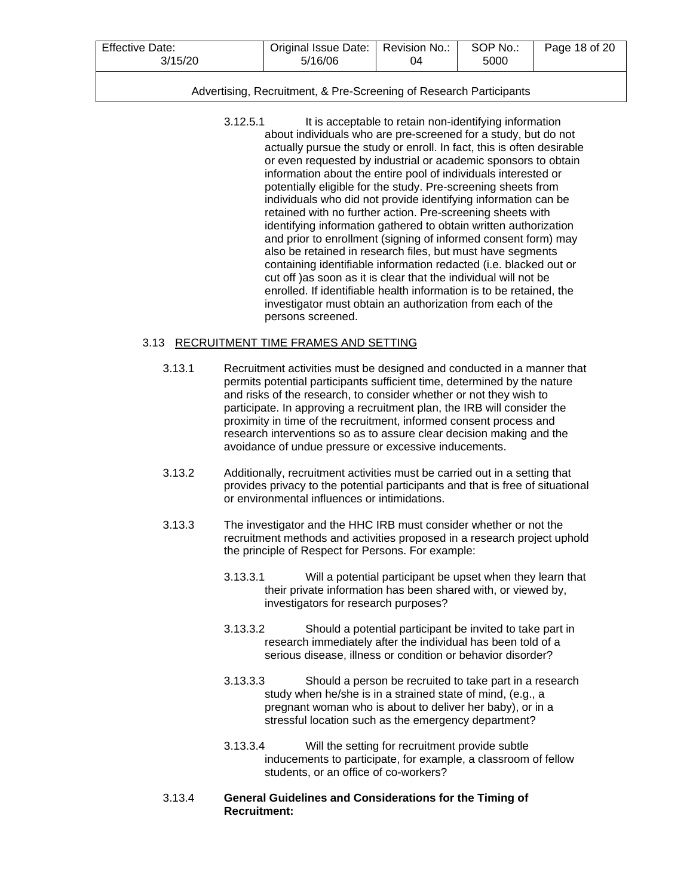| <b>Effective Date:</b> | Original Issue Date: ' | Revision No.: | SOP No.: | Page 18 of 20 |
|------------------------|------------------------|---------------|----------|---------------|
| 3/15/20                | 5/16/06                | 04            | 5000     |               |

3.12.5.1 It is acceptable to retain non-identifying information about individuals who are pre-screened for a study, but do not actually pursue the study or enroll. In fact, this is often desirable or even requested by industrial or academic sponsors to obtain information about the entire pool of individuals interested or potentially eligible for the study. Pre-screening sheets from individuals who did not provide identifying information can be retained with no further action. Pre-screening sheets with identifying information gathered to obtain written authorization and prior to enrollment (signing of informed consent form) may also be retained in research files, but must have segments containing identifiable information redacted (i.e. blacked out or cut off )as soon as it is clear that the individual will not be enrolled. If identifiable health information is to be retained, the investigator must obtain an authorization from each of the persons screened.

# 3.13 RECRUITMENT TIME FRAMES AND SETTING

- 3.13.1 Recruitment activities must be designed and conducted in a manner that permits potential participants sufficient time, determined by the nature and risks of the research, to consider whether or not they wish to participate. In approving a recruitment plan, the IRB will consider the proximity in time of the recruitment, informed consent process and research interventions so as to assure clear decision making and the avoidance of undue pressure or excessive inducements.
- 3.13.2 Additionally, recruitment activities must be carried out in a setting that provides privacy to the potential participants and that is free of situational or environmental influences or intimidations.
- 3.13.3 The investigator and the HHC IRB must consider whether or not the recruitment methods and activities proposed in a research project uphold the principle of Respect for Persons. For example:
	- 3.13.3.1 Will a potential participant be upset when they learn that their private information has been shared with, or viewed by, investigators for research purposes?
	- 3.13.3.2 Should a potential participant be invited to take part in research immediately after the individual has been told of a serious disease, illness or condition or behavior disorder?
	- 3.13.3.3 Should a person be recruited to take part in a research study when he/she is in a strained state of mind, (e.g., a pregnant woman who is about to deliver her baby), or in a stressful location such as the emergency department?
	- 3.13.3.4 Will the setting for recruitment provide subtle inducements to participate, for example, a classroom of fellow students, or an office of co-workers?
- 3.13.4 **General Guidelines and Considerations for the Timing of Recruitment:**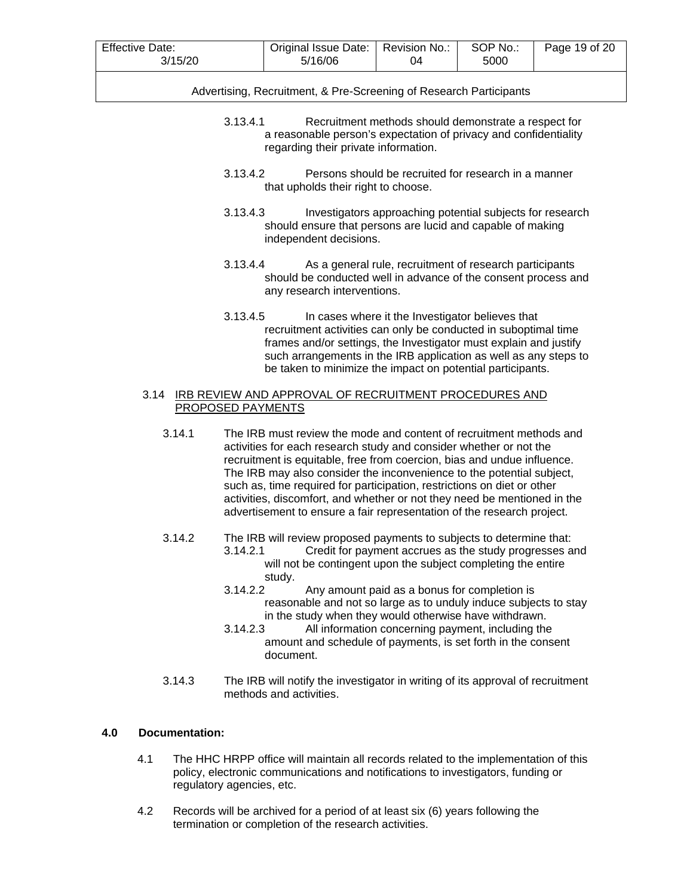| <b>Effective Date:</b> | Original Issue Date: | Revision No.: | SOP No.: | Page 19 of 20 |
|------------------------|----------------------|---------------|----------|---------------|
| 3/15/20                | 5/16/06              | 04            | 5000     |               |

- 3.13.4.1 Recruitment methods should demonstrate a respect for a reasonable person's expectation of privacy and confidentiality regarding their private information.
- 3.13.4.2 Persons should be recruited for research in a manner that upholds their right to choose.
- 3.13.4.3 Investigators approaching potential subjects for research should ensure that persons are lucid and capable of making independent decisions.
- 3.13.4.4 As a general rule, recruitment of research participants should be conducted well in advance of the consent process and any research interventions.
- 3.13.4.5 In cases where it the Investigator believes that recruitment activities can only be conducted in suboptimal time frames and/or settings, the Investigator must explain and justify such arrangements in the IRB application as well as any steps to be taken to minimize the impact on potential participants.

# 3.14 IRB REVIEW AND APPROVAL OF RECRUITMENT PROCEDURES AND PROPOSED PAYMENTS

- 3.14.1 The IRB must review the mode and content of recruitment methods and activities for each research study and consider whether or not the recruitment is equitable, free from coercion, bias and undue influence. The IRB may also consider the inconvenience to the potential subject, such as, time required for participation, restrictions on diet or other activities, discomfort, and whether or not they need be mentioned in the advertisement to ensure a fair representation of the research project.
- 3.14.2 The IRB will review proposed payments to subjects to determine that:
	- 3.14.2.1 Credit for payment accrues as the study progresses and will not be contingent upon the subject completing the entire study.
	- 3.14.2.2 Any amount paid as a bonus for completion is reasonable and not so large as to unduly induce subjects to stay in the study when they would otherwise have withdrawn.
	- 3.14.2.3 All information concerning payment, including the amount and schedule of payments, is set forth in the consent document.
- 3.14.3 The IRB will notify the investigator in writing of its approval of recruitment methods and activities.

# **4.0 Documentation:**

- 4.1 The HHC HRPP office will maintain all records related to the implementation of this policy, electronic communications and notifications to investigators, funding or regulatory agencies, etc.
- 4.2 Records will be archived for a period of at least six (6) years following the termination or completion of the research activities.